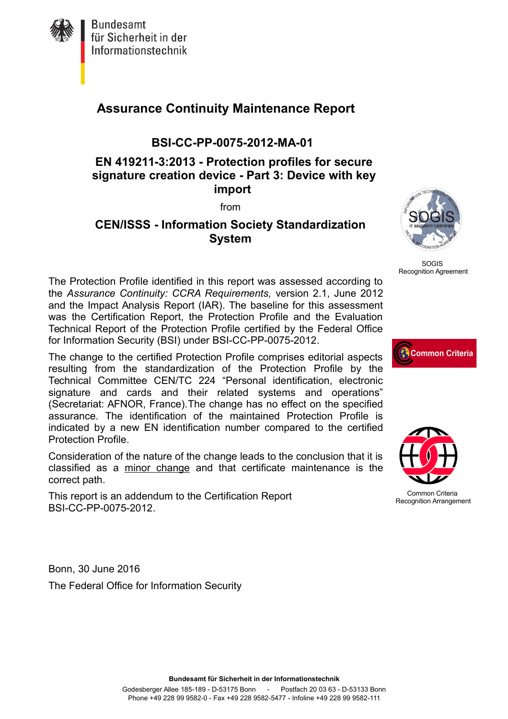

# **Assurance Continuity Maintenance Report**

#### **BSI-CC-PP-0075-2012-MA-01**

#### **EN 419211-3:2013 - Protection profiles for secure signature creation device - Part 3: Device with key import**

from

#### **CEN/ISSS - Information Society Standardization System**



SOGIS Recognition Agreement

The Protection Profile identified in this report was assessed according to the *Assurance Continuity: CCRA Requirements,* version 2.1, June 2012 and the Impact Analysis Report (IAR). The baseline for this assessment was the Certification Report, the Protection Profile and the Evaluation Technical Report of the Protection Profile certified by the Federal Office for Information Security (BSI) under BSI-CC-PP-0075-2012.

The change to the certified Protection Profile comprises editorial aspects resulting from the standardization of the Protection Profile by the Technical Committee CEN/TC 224 "Personal identification, electronic signature and cards and their related systems and operations" (Secretariat: AFNOR, France).The change has no effect on the specified assurance. The identification of the maintained Protection Profile is indicated by a new EN identification number compared to the certified Protection Profile.

Consideration of the nature of the change leads to the conclusion that it is classified as a minor change and that certificate maintenance is the correct path.

This report is an addendum to the Certification Report BSI-CC-PP-0075-2012.

Bonn, 30 June 2016 The Federal Office for Information Security





Common Criteria Recognition Arrangement

**Bundesamt für Sicherheit in der Informationstechnik**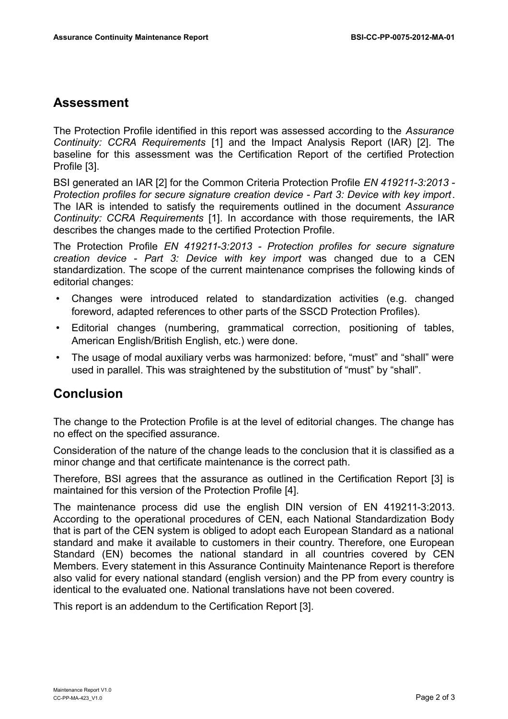## **Assessment**

The Protection Profile identified in this report was assessed according to the *Assurance Continuity: CCRA Requirements* [1] and the Impact Analysis Report (IAR) [2]. The baseline for this assessment was the Certification Report of the certified Protection Profile [3].

BSI generated an IAR [2] for the Common Criteria Protection Profile *EN 419211-3:2013 - Protection profiles for secure signature creation device - Part 3: Device with key import*. The IAR is intended to satisfy the requirements outlined in the document *Assurance Continuity: CCRA Requirements* [1]. In accordance with those requirements, the IAR describes the changes made to the certified Protection Profile.

The Protection Profile *EN 419211-3:2013 - Protection profiles for secure signature creation device - Part 3: Device with key import* was changed due to a CEN standardization. The scope of the current maintenance comprises the following kinds of editorial changes:

- Changes were introduced related to standardization activities (e.g. changed foreword, adapted references to other parts of the SSCD Protection Profiles).
- Editorial changes (numbering, grammatical correction, positioning of tables, American English/British English, etc.) were done.
- The usage of modal auxiliary verbs was harmonized: before, "must" and "shall" were used in parallel. This was straightened by the substitution of "must" by "shall".

# **Conclusion**

The change to the Protection Profile is at the level of editorial changes. The change has no effect on the specified assurance.

Consideration of the nature of the change leads to the conclusion that it is classified as a minor change and that certificate maintenance is the correct path.

Therefore, BSI agrees that the assurance as outlined in the Certification Report [3] is maintained for this version of the Protection Profile [4].

The maintenance process did use the english DIN version of EN 419211-3:2013. According to the operational procedures of CEN, each National Standardization Body that is part of the CEN system is obliged to adopt each European Standard as a national standard and make it available to customers in their country. Therefore, one European Standard (EN) becomes the national standard in all countries covered by CEN Members. Every statement in this Assurance Continuity Maintenance Report is therefore also valid for every national standard (english version) and the PP from every country is identical to the evaluated one. National translations have not been covered.

This report is an addendum to the Certification Report [3].